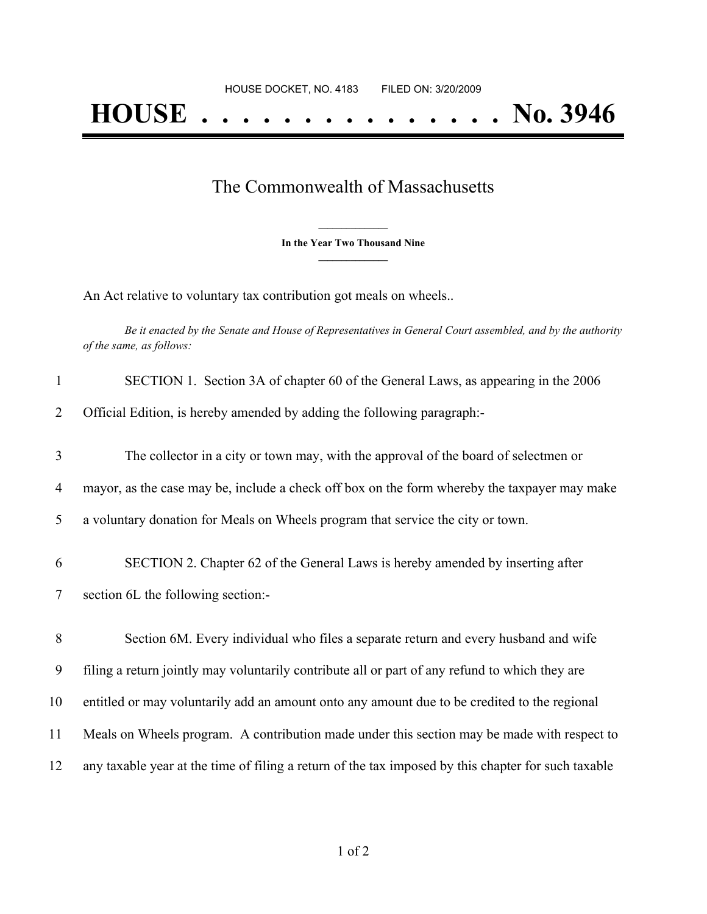## The Commonwealth of Massachusetts

**\_\_\_\_\_\_\_\_\_\_\_\_\_\_\_ In the Year Two Thousand Nine \_\_\_\_\_\_\_\_\_\_\_\_\_\_\_**

An Act relative to voluntary tax contribution got meals on wheels..

Be it enacted by the Senate and House of Representatives in General Court assembled, and by the authority *of the same, as follows:*

| $\mathbf{1}$ | SECTION 1. Section 3A of chapter 60 of the General Laws, as appearing in the 2006                   |
|--------------|-----------------------------------------------------------------------------------------------------|
| 2            | Official Edition, is hereby amended by adding the following paragraph:-                             |
| 3            | The collector in a city or town may, with the approval of the board of selectmen or                 |
| 4            | mayor, as the case may be, include a check off box on the form whereby the taxpayer may make        |
| 5            | a voluntary donation for Meals on Wheels program that service the city or town.                     |
| 6            | SECTION 2. Chapter 62 of the General Laws is hereby amended by inserting after                      |
| 7            | section 6L the following section:-                                                                  |
| 8            | Section 6M. Every individual who files a separate return and every husband and wife                 |
| 9            | filing a return jointly may voluntarily contribute all or part of any refund to which they are      |
| 10           | entitled or may voluntarily add an amount onto any amount due to be credited to the regional        |
| 11           | Meals on Wheels program. A contribution made under this section may be made with respect to         |
| 12           | any taxable year at the time of filing a return of the tax imposed by this chapter for such taxable |